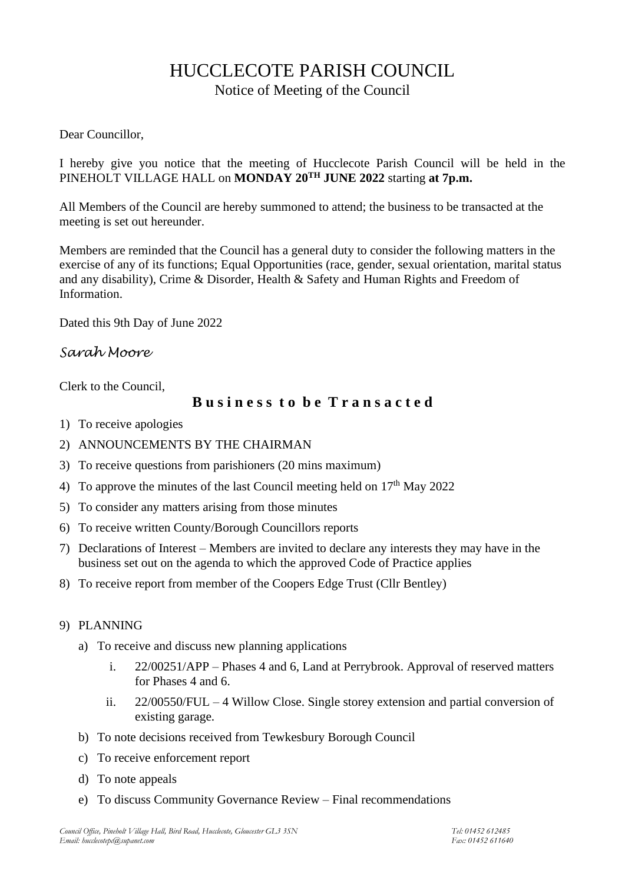# HUCCLECOTE PARISH COUNCIL

Notice of Meeting of the Council

### Dear Councillor,

I hereby give you notice that the meeting of Hucclecote Parish Council will be held in the PINEHOLT VILLAGE HALL on **MONDAY 20TH JUNE 2022** starting **at 7p.m.**

All Members of the Council are hereby summoned to attend; the business to be transacted at the meeting is set out hereunder.

Members are reminded that the Council has a general duty to consider the following matters in the exercise of any of its functions; Equal Opportunities (race, gender, sexual orientation, marital status and any disability), Crime & Disorder, Health & Safety and Human Rights and Freedom of Information.

Dated this 9th Day of June 2022

## *Sarah Moore*

Clerk to the Council,

## **B u s i n e s s t o b e T r a n s a c t e d**

- 1) To receive apologies
- 2) ANNOUNCEMENTS BY THE CHAIRMAN
- 3) To receive questions from parishioners (20 mins maximum)
- 4) To approve the minutes of the last Council meeting held on  $17<sup>th</sup>$  May 2022
- 5) To consider any matters arising from those minutes
- 6) To receive written County/Borough Councillors reports
- 7) Declarations of Interest Members are invited to declare any interests they may have in the business set out on the agenda to which the approved Code of Practice applies
- 8) To receive report from member of the Coopers Edge Trust (Cllr Bentley)

### 9) PLANNING

- a) To receive and discuss new planning applications
	- i. 22/00251/APP Phases 4 and 6, Land at Perrybrook. Approval of reserved matters for Phases 4 and 6.
	- ii. 22/00550/FUL 4 Willow Close. Single storey extension and partial conversion of existing garage.
- b) To note decisions received from Tewkesbury Borough Council
- c) To receive enforcement report
- d) To note appeals
- e) To discuss Community Governance Review Final recommendations